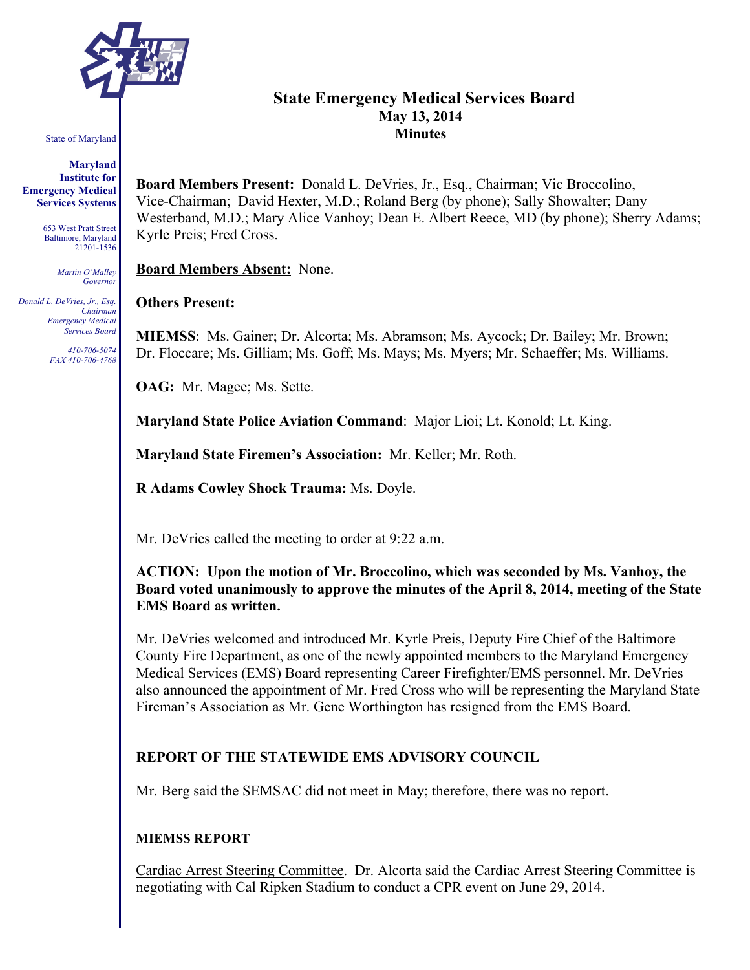

#### State of Maryland

**Maryland Institute for Emergency Medical Services Systems**

> 653 West Pratt Street Baltimore, Maryland 21201-1536

> > *Martin O'Malley Governor*

*Donald L. DeVries, Jr., Esq. Chairman Emergency Medical Services Board*

> *410-706-5074 FAX 410-706-4768*

# **State Emergency Medical Services Board May 13, 2014 Minutes**

**Board Members Present:** Donald L. DeVries, Jr., Esq., Chairman; Vic Broccolino, Vice-Chairman; David Hexter, M.D.; Roland Berg (by phone); Sally Showalter; Dany Westerband, M.D.; Mary Alice Vanhoy; Dean E. Albert Reece, MD (by phone); Sherry Adams; Kyrle Preis; Fred Cross.

**Board Members Absent:** None.

#### **Others Present:**

**MIEMSS**: Ms. Gainer; Dr. Alcorta; Ms. Abramson; Ms. Aycock; Dr. Bailey; Mr. Brown; Dr. Floccare; Ms. Gilliam; Ms. Goff; Ms. Mays; Ms. Myers; Mr. Schaeffer; Ms. Williams.

**OAG:** Mr. Magee; Ms. Sette.

**Maryland State Police Aviation Command**: Major Lioi; Lt. Konold; Lt. King.

**Maryland State Firemen's Association:** Mr. Keller; Mr. Roth.

**R Adams Cowley Shock Trauma:** Ms. Doyle.

Mr. DeVries called the meeting to order at 9:22 a.m.

**ACTION: Upon the motion of Mr. Broccolino, which was seconded by Ms. Vanhoy, the Board voted unanimously to approve the minutes of the April 8, 2014, meeting of the State EMS Board as written.**

Mr. DeVries welcomed and introduced Mr. Kyrle Preis, Deputy Fire Chief of the Baltimore County Fire Department, as one of the newly appointed members to the Maryland Emergency Medical Services (EMS) Board representing Career Firefighter/EMS personnel. Mr. DeVries also announced the appointment of Mr. Fred Cross who will be representing the Maryland State Fireman's Association as Mr. Gene Worthington has resigned from the EMS Board.

# **REPORT OF THE STATEWIDE EMS ADVISORY COUNCIL**

Mr. Berg said the SEMSAC did not meet in May; therefore, there was no report.

#### **MIEMSS REPORT**

Cardiac Arrest Steering Committee. Dr. Alcorta said the Cardiac Arrest Steering Committee is negotiating with Cal Ripken Stadium to conduct a CPR event on June 29, 2014.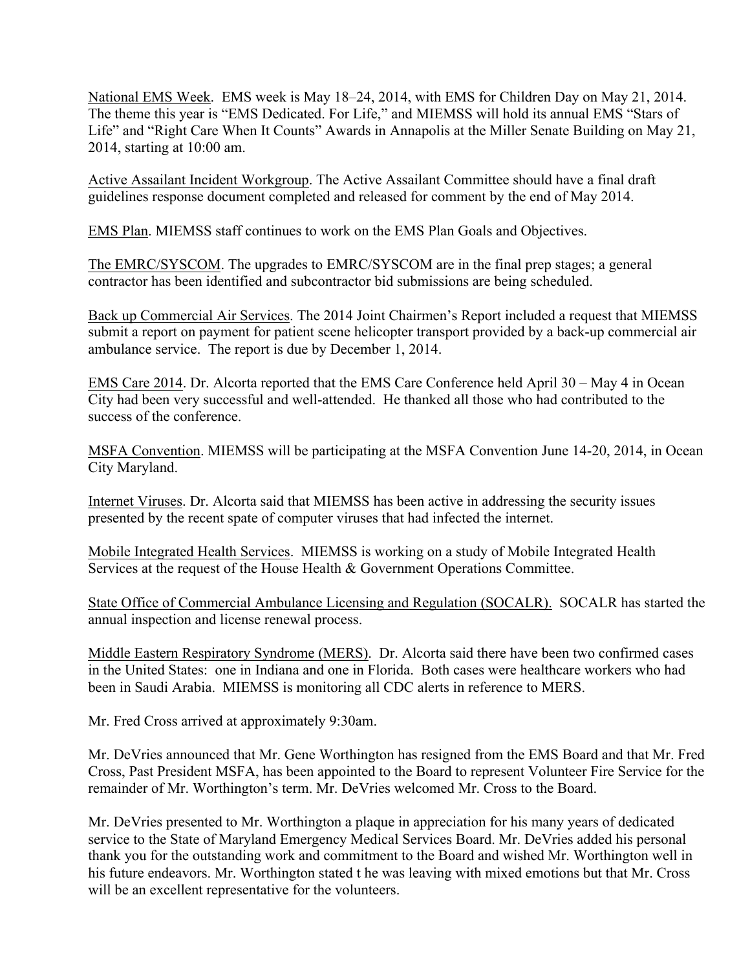National EMS Week. EMS week is May 18–24, 2014, with EMS for Children Day on May 21, 2014. The theme this year is "EMS Dedicated. For Life," and MIEMSS will hold its annual EMS "Stars of Life" and "Right Care When It Counts" Awards in Annapolis at the Miller Senate Building on May 21, 2014, starting at 10:00 am.

Active Assailant Incident Workgroup. The Active Assailant Committee should have a final draft guidelines response document completed and released for comment by the end of May 2014.

EMS Plan. MIEMSS staff continues to work on the EMS Plan Goals and Objectives.

The EMRC/SYSCOM. The upgrades to EMRC/SYSCOM are in the final prep stages; a general contractor has been identified and subcontractor bid submissions are being scheduled.

Back up Commercial Air Services. The 2014 Joint Chairmen's Report included a request that MIEMSS submit a report on payment for patient scene helicopter transport provided by a back-up commercial air ambulance service. The report is due by December 1, 2014.

EMS Care 2014. Dr. Alcorta reported that the EMS Care Conference held April 30 – May 4 in Ocean City had been very successful and well-attended. He thanked all those who had contributed to the success of the conference.

MSFA Convention. MIEMSS will be participating at the MSFA Convention June 14-20, 2014, in Ocean City Maryland.

Internet Viruses. Dr. Alcorta said that MIEMSS has been active in addressing the security issues presented by the recent spate of computer viruses that had infected the internet.

Mobile Integrated Health Services. MIEMSS is working on a study of Mobile Integrated Health Services at the request of the House Health & Government Operations Committee.

State Office of Commercial Ambulance Licensing and Regulation (SOCALR). SOCALR has started the annual inspection and license renewal process.

Middle Eastern Respiratory Syndrome (MERS). Dr. Alcorta said there have been two confirmed cases in the United States: one in Indiana and one in Florida. Both cases were healthcare workers who had been in Saudi Arabia. MIEMSS is monitoring all CDC alerts in reference to MERS.

Mr. Fred Cross arrived at approximately 9:30am.

Mr. DeVries announced that Mr. Gene Worthington has resigned from the EMS Board and that Mr. Fred Cross, Past President MSFA, has been appointed to the Board to represent Volunteer Fire Service for the remainder of Mr. Worthington's term. Mr. DeVries welcomed Mr. Cross to the Board.

Mr. DeVries presented to Mr. Worthington a plaque in appreciation for his many years of dedicated service to the State of Maryland Emergency Medical Services Board. Mr. DeVries added his personal thank you for the outstanding work and commitment to the Board and wished Mr. Worthington well in his future endeavors. Mr. Worthington stated t he was leaving with mixed emotions but that Mr. Cross will be an excellent representative for the volunteers.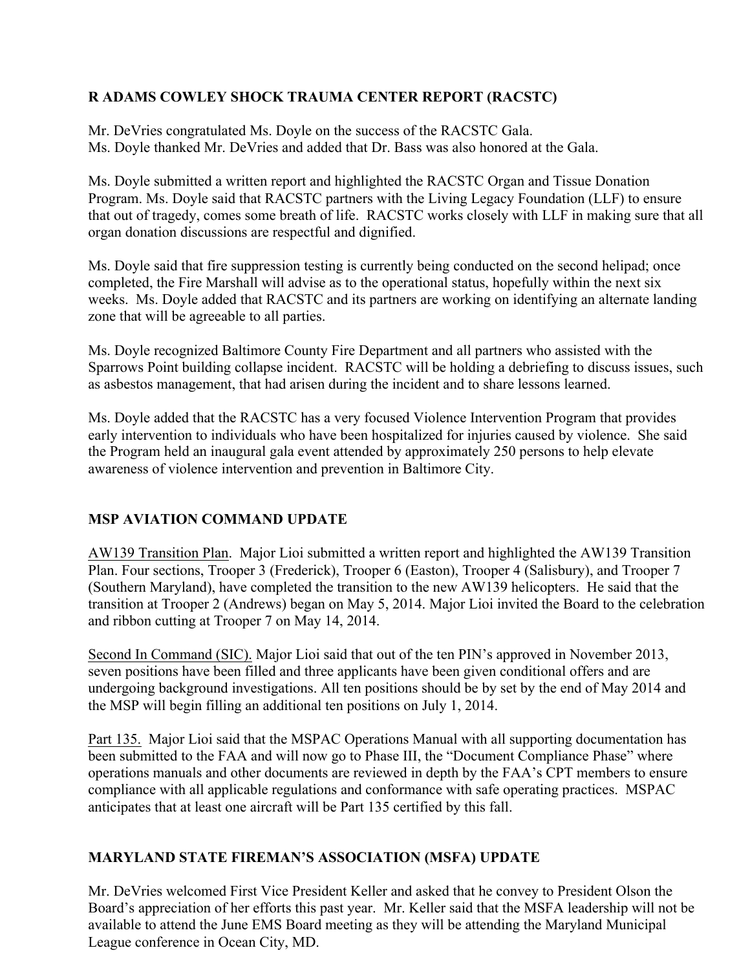# **R ADAMS COWLEY SHOCK TRAUMA CENTER REPORT (RACSTC)**

Mr. DeVries congratulated Ms. Doyle on the success of the RACSTC Gala. Ms. Doyle thanked Mr. DeVries and added that Dr. Bass was also honored at the Gala.

Ms. Doyle submitted a written report and highlighted the RACSTC Organ and Tissue Donation Program. Ms. Doyle said that RACSTC partners with the Living Legacy Foundation (LLF) to ensure that out of tragedy, comes some breath of life. RACSTC works closely with LLF in making sure that all organ donation discussions are respectful and dignified.

Ms. Doyle said that fire suppression testing is currently being conducted on the second helipad; once completed, the Fire Marshall will advise as to the operational status, hopefully within the next six weeks. Ms. Doyle added that RACSTC and its partners are working on identifying an alternate landing zone that will be agreeable to all parties.

Ms. Doyle recognized Baltimore County Fire Department and all partners who assisted with the Sparrows Point building collapse incident. RACSTC will be holding a debriefing to discuss issues, such as asbestos management, that had arisen during the incident and to share lessons learned.

Ms. Doyle added that the RACSTC has a very focused Violence Intervention Program that provides early intervention to individuals who have been hospitalized for injuries caused by violence. She said the Program held an inaugural gala event attended by approximately 250 persons to help elevate awareness of violence intervention and prevention in Baltimore City.

# **MSP AVIATION COMMAND UPDATE**

AW139 Transition Plan. Major Lioi submitted a written report and highlighted the AW139 Transition Plan. Four sections, Trooper 3 (Frederick), Trooper 6 (Easton), Trooper 4 (Salisbury), and Trooper 7 (Southern Maryland), have completed the transition to the new AW139 helicopters. He said that the transition at Trooper 2 (Andrews) began on May 5, 2014. Major Lioi invited the Board to the celebration and ribbon cutting at Trooper 7 on May 14, 2014.

Second In Command (SIC). Major Lioi said that out of the ten PIN's approved in November 2013, seven positions have been filled and three applicants have been given conditional offers and are undergoing background investigations. All ten positions should be by set by the end of May 2014 and the MSP will begin filling an additional ten positions on July 1, 2014.

Part 135. Major Lioi said that the MSPAC Operations Manual with all supporting documentation has been submitted to the FAA and will now go to Phase III, the "Document Compliance Phase" where operations manuals and other documents are reviewed in depth by the FAA's CPT members to ensure compliance with all applicable regulations and conformance with safe operating practices. MSPAC anticipates that at least one aircraft will be Part 135 certified by this fall.

# **MARYLAND STATE FIREMAN'S ASSOCIATION (MSFA) UPDATE**

Mr. DeVries welcomed First Vice President Keller and asked that he convey to President Olson the Board's appreciation of her efforts this past year. Mr. Keller said that the MSFA leadership will not be available to attend the June EMS Board meeting as they will be attending the Maryland Municipal League conference in Ocean City, MD.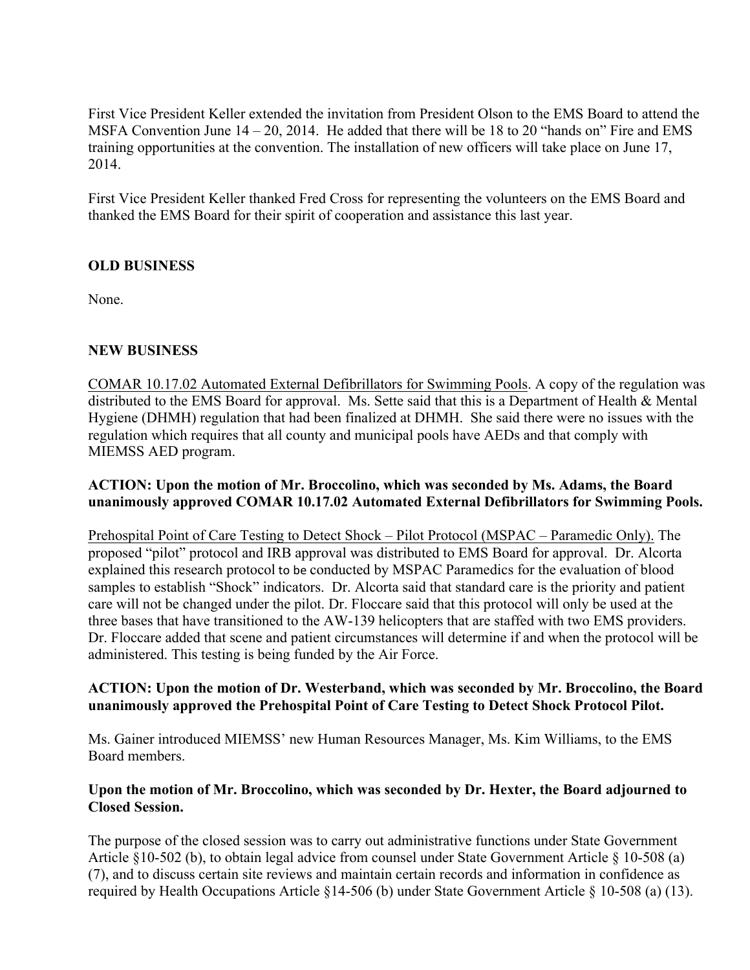First Vice President Keller extended the invitation from President Olson to the EMS Board to attend the MSFA Convention June 14 – 20, 2014. He added that there will be 18 to 20 "hands on" Fire and EMS training opportunities at the convention. The installation of new officers will take place on June 17, 2014.

First Vice President Keller thanked Fred Cross for representing the volunteers on the EMS Board and thanked the EMS Board for their spirit of cooperation and assistance this last year.

# **OLD BUSINESS**

None.

# **NEW BUSINESS**

COMAR 10.17.02 Automated External Defibrillators for Swimming Pools. A copy of the regulation was distributed to the EMS Board for approval. Ms. Sette said that this is a Department of Health & Mental Hygiene (DHMH) regulation that had been finalized at DHMH. She said there were no issues with the regulation which requires that all county and municipal pools have AEDs and that comply with MIEMSS AED program.

#### **ACTION: Upon the motion of Mr. Broccolino, which was seconded by Ms. Adams, the Board unanimously approved COMAR 10.17.02 Automated External Defibrillators for Swimming Pools.**

Prehospital Point of Care Testing to Detect Shock – Pilot Protocol (MSPAC – Paramedic Only). The proposed "pilot" protocol and IRB approval was distributed to EMS Board for approval. Dr. Alcorta explained this research protocol to be conducted by MSPAC Paramedics for the evaluation of blood samples to establish "Shock" indicators. Dr. Alcorta said that standard care is the priority and patient care will not be changed under the pilot. Dr. Floccare said that this protocol will only be used at the three bases that have transitioned to the AW-139 helicopters that are staffed with two EMS providers. Dr. Floccare added that scene and patient circumstances will determine if and when the protocol will be administered. This testing is being funded by the Air Force.

#### **ACTION: Upon the motion of Dr. Westerband, which was seconded by Mr. Broccolino, the Board unanimously approved the Prehospital Point of Care Testing to Detect Shock Protocol Pilot.**

Ms. Gainer introduced MIEMSS' new Human Resources Manager, Ms. Kim Williams, to the EMS Board members.

# **Upon the motion of Mr. Broccolino, which was seconded by Dr. Hexter, the Board adjourned to Closed Session.**

The purpose of the closed session was to carry out administrative functions under State Government Article §10-502 (b), to obtain legal advice from counsel under State Government Article § 10-508 (a) (7), and to discuss certain site reviews and maintain certain records and information in confidence as required by Health Occupations Article §14-506 (b) under State Government Article § 10-508 (a) (13).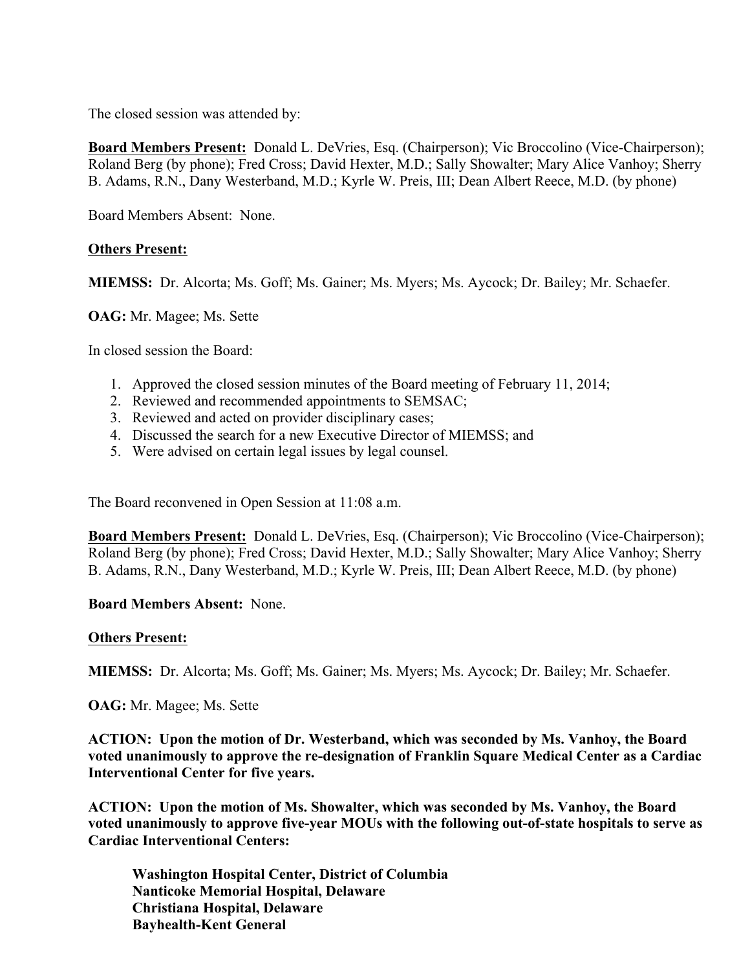The closed session was attended by:

**Board Members Present:** Donald L. DeVries, Esq. (Chairperson); Vic Broccolino (Vice-Chairperson); Roland Berg (by phone); Fred Cross; David Hexter, M.D.; Sally Showalter; Mary Alice Vanhoy; Sherry B. Adams, R.N., Dany Westerband, M.D.; Kyrle W. Preis, III; Dean Albert Reece, M.D. (by phone)

Board Members Absent: None.

#### **Others Present:**

**MIEMSS:** Dr. Alcorta; Ms. Goff; Ms. Gainer; Ms. Myers; Ms. Aycock; Dr. Bailey; Mr. Schaefer.

**OAG:** Mr. Magee; Ms. Sette

In closed session the Board:

- 1. Approved the closed session minutes of the Board meeting of February 11, 2014;
- 2. Reviewed and recommended appointments to SEMSAC;
- 3. Reviewed and acted on provider disciplinary cases;
- 4. Discussed the search for a new Executive Director of MIEMSS; and
- 5. Were advised on certain legal issues by legal counsel.

The Board reconvened in Open Session at 11:08 a.m.

**Board Members Present:** Donald L. DeVries, Esq. (Chairperson); Vic Broccolino (Vice-Chairperson); Roland Berg (by phone); Fred Cross; David Hexter, M.D.; Sally Showalter; Mary Alice Vanhoy; Sherry B. Adams, R.N., Dany Westerband, M.D.; Kyrle W. Preis, III; Dean Albert Reece, M.D. (by phone)

#### **Board Members Absent:** None.

#### **Others Present:**

**MIEMSS:** Dr. Alcorta; Ms. Goff; Ms. Gainer; Ms. Myers; Ms. Aycock; Dr. Bailey; Mr. Schaefer.

**OAG:** Mr. Magee; Ms. Sette

**ACTION: Upon the motion of Dr. Westerband, which was seconded by Ms. Vanhoy, the Board voted unanimously to approve the re-designation of Franklin Square Medical Center as a Cardiac Interventional Center for five years.**

**ACTION: Upon the motion of Ms. Showalter, which was seconded by Ms. Vanhoy, the Board voted unanimously to approve five-year MOUs with the following out-of-state hospitals to serve as Cardiac Interventional Centers:**

**Washington Hospital Center, District of Columbia Nanticoke Memorial Hospital, Delaware Christiana Hospital, Delaware Bayhealth-Kent General**